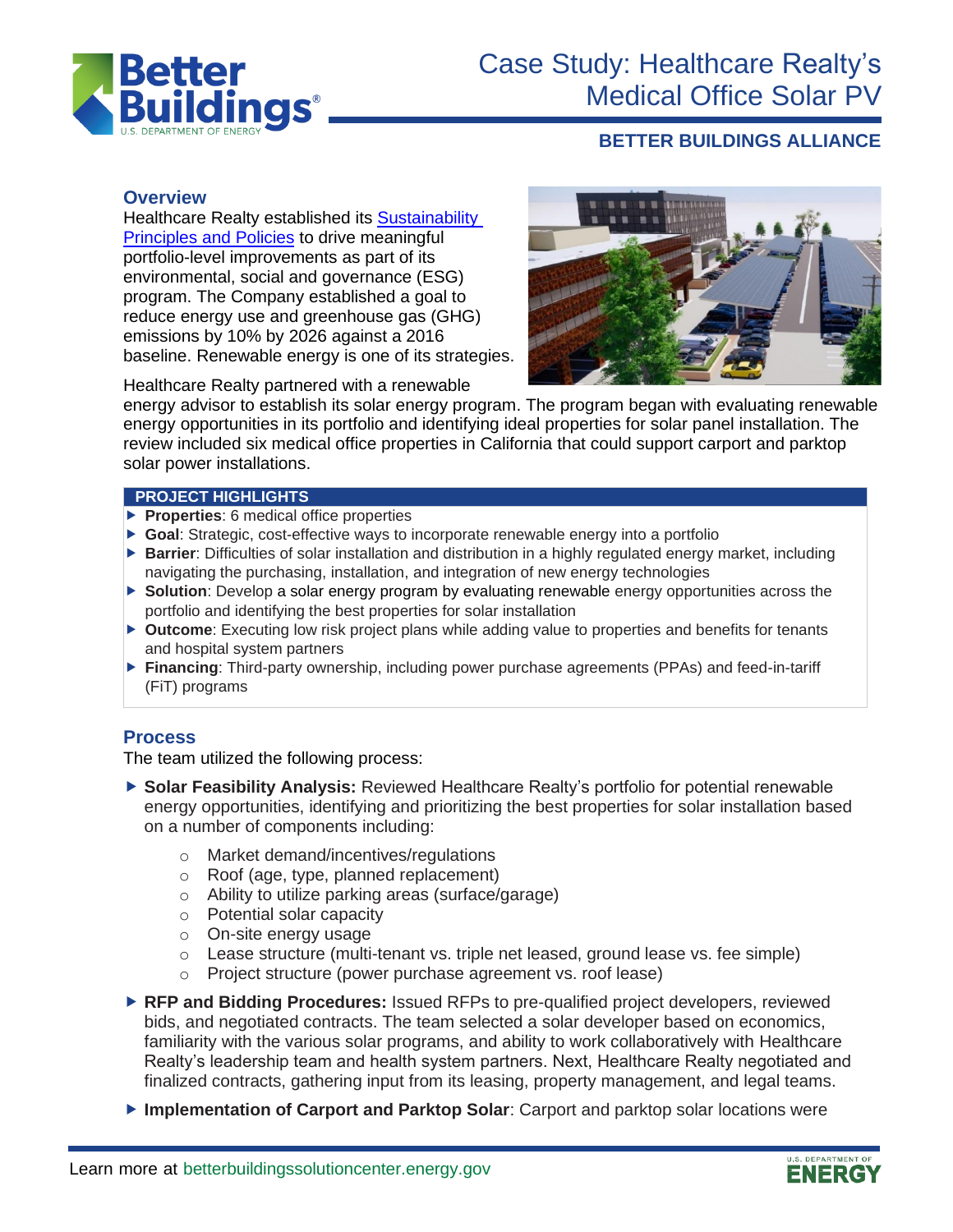

# Case Study: Healthcare Realty's Medical Office Solar PV

# **BETTER BUILDINGS ALLIANCE**

#### **Overview**

Healthcare Realty established its [Sustainability](https://www.healthcarerealty.com/sustainability/)  [Principles](https://www.healthcarerealty.com/sustainability/) and Policies to drive meaningful portfolio-level improvements as part of its environmental, social and governance (ESG) program. The Company established a goal to reduce energy use and greenhouse gas (GHG) emissions by 10% by 2026 against a 2016 baseline. Renewable energy is one of its strategies.



Healthcare Realty partnered with a renewable

energy advisor to establish its solar energy program. The program began with evaluating renewable energy opportunities in its portfolio and identifying ideal properties for solar panel installation. The review included six medical office properties in California that could support carport and parktop solar power installations.

#### **PROJECT HIGHLIGHTS**

- **Properties**: 6 medical office properties
- ▶ Goal: Strategic, cost-effective ways to incorporate renewable energy into a portfolio
- **Barrier**: Difficulties of solar installation and distribution in a highly regulated energy market, including navigating the purchasing, installation, and integration of new energy technologies
- **Solution**: Develop a solar energy program by evaluating renewable energy opportunities across the portfolio and identifying the best properties for solar installation
- ▶ **Outcome**: Executing low risk project plans while adding value to properties and benefits for tenants and hospital system partners
- **Financing**: Third-party ownership, including power purchase agreements (PPAs) and feed-in-tariff (FiT) programs

# **Process**

The team utilized the following process:

- ▶ Solar Feasibility Analysis: Reviewed Healthcare Realty's portfolio for potential renewable energy opportunities, identifying and prioritizing the best properties for solar installation based on a number of components including:
	- o Market demand/incentives/regulations
	- o Roof (age, type, planned replacement)
	- o Ability to utilize parking areas (surface/garage)
	- o Potential solar capacity
	- o On-site energy usage
	- $\circ$  Lease structure (multi-tenant vs. triple net leased, ground lease vs. fee simple)
	- o Project structure (power purchase agreement vs. roof lease)
- **RFP and Bidding Procedures:** Issued RFPs to pre-qualified project developers, reviewed bids, and negotiated contracts. The team selected a solar developer based on economics, familiarity with the various solar programs, and ability to work collaboratively with Healthcare Realty's leadership team and health system partners. Next, Healthcare Realty negotiated and finalized contracts, gathering input from its leasing, property management, and legal teams.
- **Implementation of Carport and Parktop Solar**: Carport and parktop solar locations were

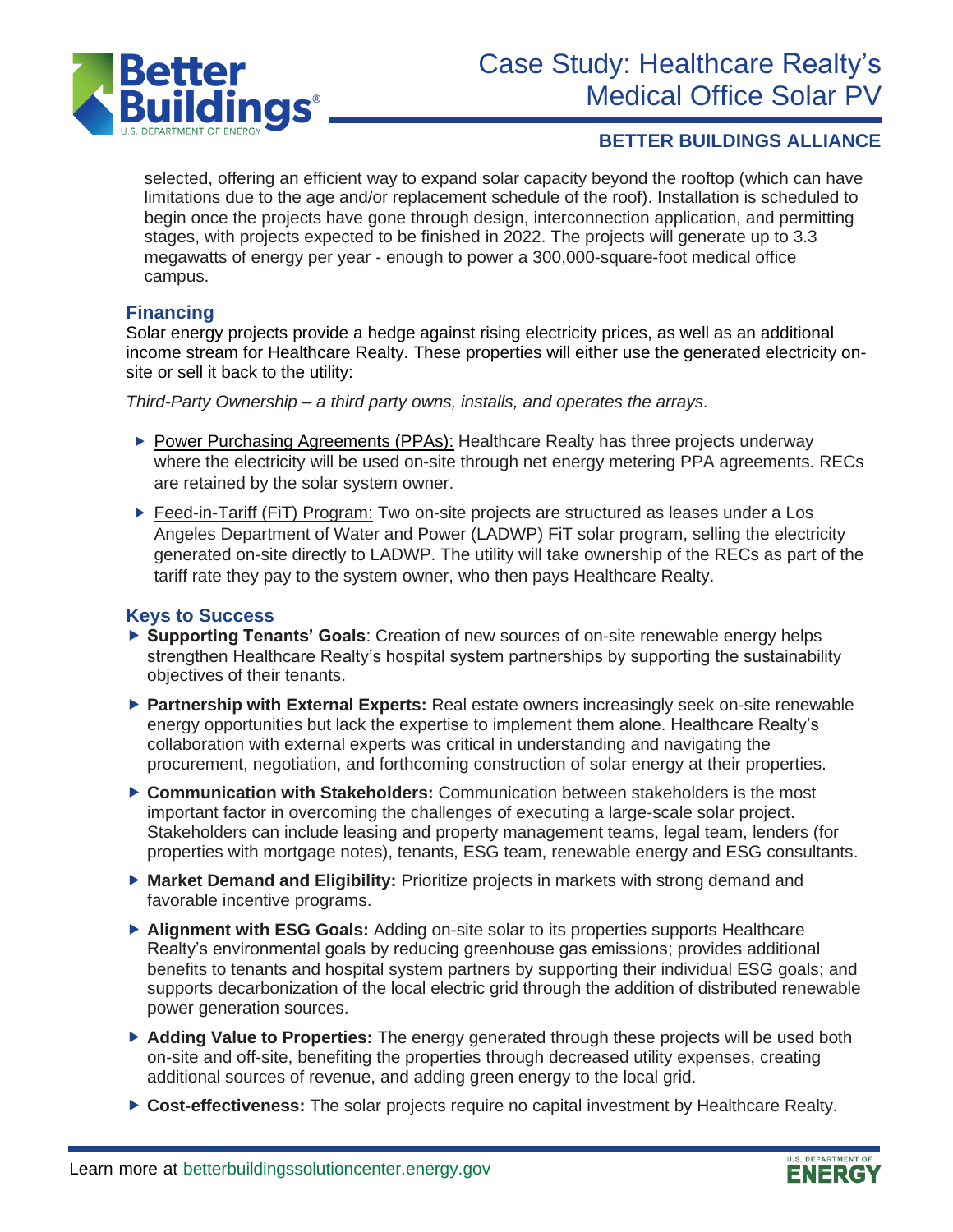

### **BETTER BUILDINGS ALLIANCE**

selected, offering an efficient way to expand solar capacity beyond the rooftop (which can have limitations due to the age and/or replacement schedule of the roof). Installation is scheduled to begin once the projects have gone through design, interconnection application, and permitting stages, with projects expected to be finished in 2022. The projects will generate up to 3.3 megawatts of energy per year - enough to power a 300,000-square-foot medical office campus.

#### **Financing**

Solar energy projects provide a hedge against rising electricity prices, as well as an additional income stream for Healthcare Realty. These properties will either use the generated electricity onsite or sell it back to the utility:

*Third-Party Ownership – a third party owns, installs, and operates the arrays.*

- ▶ [Power Purchasing Agreements \(PPAs\):](https://betterbuildingssolutioncenter.energy.gov/financing-navigator/option/power-purchase-agreement) Healthcare Realty has three projects underway where the electricity will be used on-site through net energy metering PPA agreements. RECs are retained by the solar system owner.
- ▶ Feed-in-Tariff (FiT) Program: Two on-site projects are structured as leases under a Los Angeles Department of Water and Power (LADWP) FiT solar program, selling the electricity generated on-site directly to LADWP. The utility will take ownership of the RECs as part of the tariff rate they pay to the system owner, who then pays Healthcare Realty.

#### **Keys to Success**

- ▶ Supporting Tenants' Goals: Creation of new sources of on-site renewable energy helps strengthen Healthcare Realty's hospital system partnerships by supporting the sustainability objectives of their tenants.
- **Partnership with External Experts:** Real estate owners increasingly seek on-site renewable energy opportunities but lack the expertise to implement them alone. Healthcare Realty's collaboration with external experts was critical in understanding and navigating the procurement, negotiation, and forthcoming construction of solar energy at their properties.
- **Communication with Stakeholders:** Communication between stakeholders is the most important factor in overcoming the challenges of executing a large-scale solar project. Stakeholders can include leasing and property management teams, legal team, lenders (for properties with mortgage notes), tenants, ESG team, renewable energy and ESG consultants.
- **Market Demand and Eligibility:** Prioritize projects in markets with strong demand and favorable incentive programs.
- ▶ Alignment with **ESG Goals:** Adding on-site solar to its properties supports Healthcare Realty's environmental goals by reducing greenhouse gas emissions; provides additional benefits to tenants and hospital system partners by supporting their individual ESG goals; and supports decarbonization of the local electric grid through the addition of distributed renewable power generation sources.
- **Adding Value to Properties:** The energy generated through these projects will be used both on-site and off-site, benefiting the properties through decreased utility expenses, creating additional sources of revenue, and adding green energy to the local grid.
- **Cost-effectiveness:** The solar projects require no capital investment by Healthcare Realty.